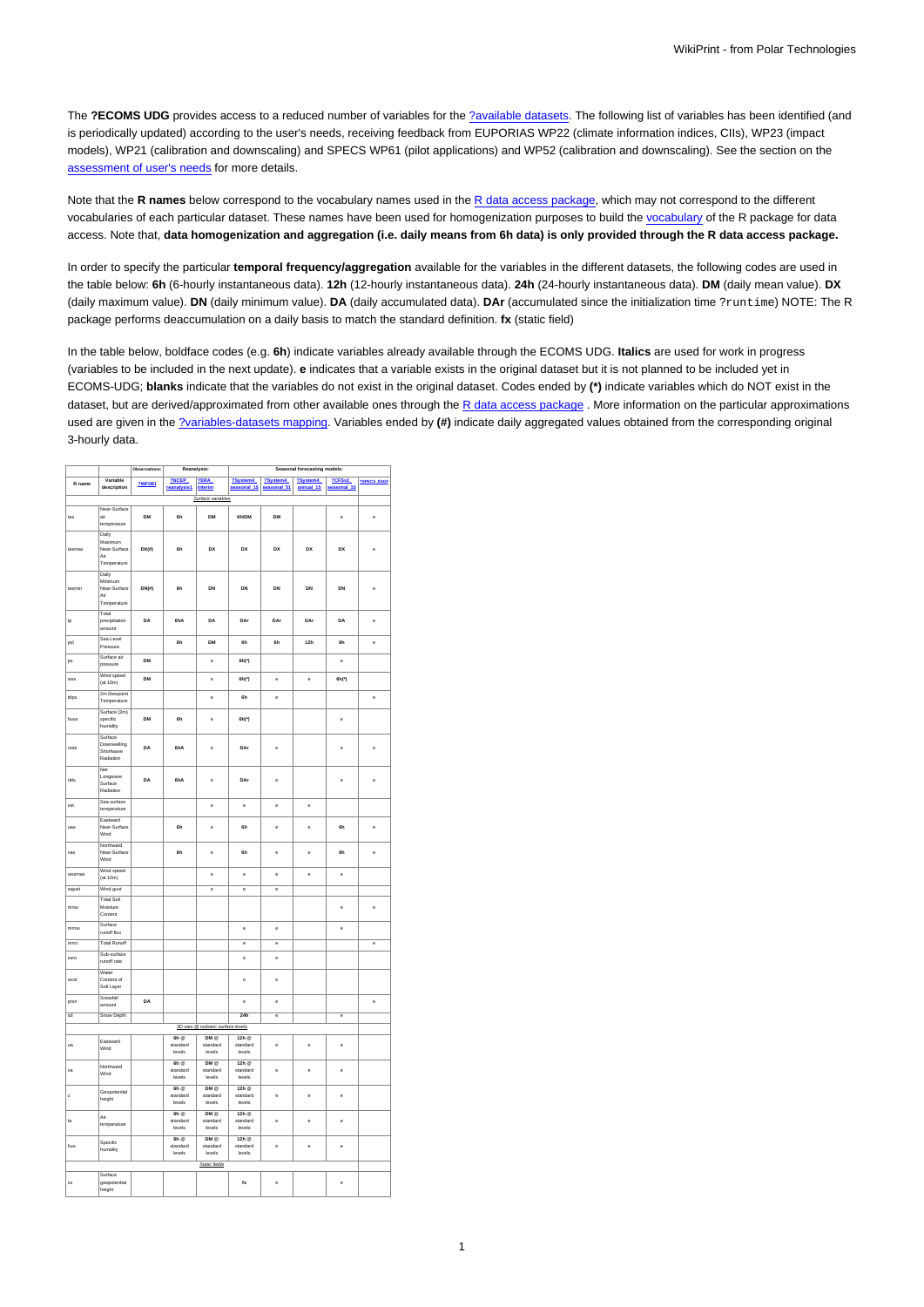The ?ECOMS UDG provides access to a reduced number of variables for the [?available datasets.](http://meteo.unican.es/trac/wiki/udg/ecoms/dataserver/datasets) The following list of variables has been identified (and is periodically updated) according to the user's needs, receiving feedback from EUPORIAS WP22 (climate information indices, CIIs), WP23 (impact models), WP21 (calibration and downscaling) and SPECS WP61 (pilot applications) and WP52 (calibration and downscaling). See the section on the [assessment of user's needs](https://meteo.unican.es/trac/wiki/udg/ecoms/EndUserNeeds) for more details.

Note that the **R names** below correspond to the vocabulary names used in the [R data access package,](https://meteo.unican.es/trac/wiki/udg/ecoms/RPackage) which may not correspond to the different vocabularies of each particular dataset. These names have been used for homogenization purposes to build the [vocabulary](https://meteo.unican.es/trac/wiki/udg/ecoms/RPackage/homogeneization) of the R package for data access. Note that, **data homogenization and aggregation (i.e. daily means from 6h data) is only provided through the R data access package.**

In order to specify the particular **temporal frequency/aggregation** available for the variables in the different datasets, the following codes are used in the table below: **6h** (6-hourly instantaneous data). **12h** (12-hourly instantaneous data). **24h** (24-hourly instantaneous data). **DM** (daily mean value). **DX** (daily maximum value). **DN** (daily minimum value). **DA** (daily accumulated data). **DAr** (accumulated since the initialization time ?runtime) NOTE: The R package performs deaccumulation on a daily basis to match the standard definition. **fx** (static field)

In the table below, boldface codes (e.g. **6h**) indicate variables already available through the ECOMS UDG. **Italics** are used for work in progress (variables to be included in the next update). **e** indicates that a variable exists in the original dataset but it is not planned to be included yet in ECOMS-UDG; **blanks** indicate that the variables do not exist in the original dataset. Codes ended by **(\*)** indicate variables which do NOT exist in the dataset, but are derived/approximated from other available ones through the [R data access package](https://meteo.unican.es/trac/wiki/udg/ecoms/RPackage). More information on the particular approximations used are given in the [?variables-datasets mapping](http://meteo.unican.es/trac/wiki/EcomsUdg/EndUserNeeds/ListOfVariables). Variables ended by **(#)** indicate daily aggregated values obtained from the corresponding original 3-hourly data.

|                   |                          | Observations:<br>Reanalysis: |                      | Seasonal forecasting models:      |                    |           |                   |                       |                    |
|-------------------|--------------------------|------------------------------|----------------------|-----------------------------------|--------------------|-----------|-------------------|-----------------------|--------------------|
| R name            | Variable                 | ?WFDEI                       | 2NCEP<br>reanalysis1 | <b>?ERA</b>                       | ?System4           | ?System4  | ?System4          | 2CFSv2<br>seasonal_15 | <b>7SPECS ESGE</b> |
|                   | description              |                              |                      | Interim                           | ional 15           | sonal_51  | annual_15         |                       |                    |
| Surface variables |                          |                              |                      |                                   |                    |           |                   |                       |                    |
| Near-Surface      |                          |                              |                      |                                   |                    |           |                   |                       |                    |
| tas               | air                      | <b>DM</b>                    | 6h                   | DM                                | 6h/DM              | <b>DM</b> |                   | ė                     | ė                  |
|                   | temperature              |                              |                      |                                   |                    |           |                   |                       |                    |
|                   | Daily                    |                              |                      |                                   |                    |           |                   |                       |                    |
| tasmax            | Maximum<br>Near-Surface  | $DX(\#)$                     | 6h                   | DX                                | DX                 | DX        | DX                | DX                    | ė                  |
|                   | Air                      |                              |                      |                                   |                    |           |                   |                       |                    |
|                   | Temperature              |                              |                      |                                   |                    |           |                   |                       |                    |
|                   | Daily                    |                              |                      |                                   |                    |           |                   |                       |                    |
|                   | Minimum                  |                              |                      |                                   |                    |           |                   |                       |                    |
| tasmin            | Near-Surface             | DN(0)                        | 6h                   | DN                                | DN                 | DN        | DN                | DN                    | ė                  |
|                   | Air<br>Temperature       |                              |                      |                                   |                    |           |                   |                       |                    |
|                   |                          |                              |                      |                                   |                    |           |                   |                       |                    |
|                   | Total                    | DA                           | 6hA                  | DA                                | DAr                | DAr       | DAr               | DA                    |                    |
| ţр                | precipitation<br>amount  |                              |                      |                                   |                    |           |                   |                       | e                  |
|                   | Sea Level                |                              |                      |                                   |                    |           |                   |                       |                    |
| psl               | Pressure                 |                              | 6h                   | DM                                | 6h                 | 6h        | 12 <sub>h</sub>   | 6h                    | ė                  |
|                   | Surface air              |                              |                      |                                   |                    |           |                   |                       |                    |
| ps                | pressure                 | DM                           |                      | ė                                 | 6h(*)              |           |                   | ė                     |                    |
|                   | Wind speed               |                              |                      |                                   |                    |           |                   |                       |                    |
| wss               | (at 10m)                 | <b>DM</b>                    |                      | ė                                 | 6h(')              | ė         | ė                 | 6h(')                 |                    |
|                   | 2m Dewpoint              |                              |                      |                                   |                    |           |                   |                       |                    |
| tdps              | Temperature              |                              |                      | ė                                 | 6h                 | ė         |                   |                       | ė                  |
|                   | Surface (2m)             |                              |                      |                                   |                    |           |                   |                       |                    |
| huss              | specific                 | <b>DM</b>                    | 6h                   | e                                 | 6h(*)              |           |                   | ė                     |                    |
|                   | humidity                 |                              |                      |                                   |                    |           |                   |                       |                    |
|                   | Surface                  |                              |                      |                                   |                    |           |                   |                       |                    |
| rsds              | Downwelling              | DA                           | 6hA                  | ė                                 | DAr                | ė         |                   | ė                     | ė                  |
|                   | Shortwave                |                              |                      |                                   |                    |           |                   |                       |                    |
|                   | Radiation                |                              |                      |                                   |                    |           |                   |                       |                    |
|                   | Net                      |                              |                      |                                   |                    |           |                   |                       |                    |
| rids              | Longwave<br>Surface      | DA                           | 6hA                  | ė                                 | DAr                | ė         |                   | ė                     | e                  |
|                   | Radiation                |                              |                      |                                   |                    |           |                   |                       |                    |
|                   | Sea surface              |                              |                      |                                   |                    |           |                   |                       |                    |
| sst               | temperature              |                              |                      | ė                                 | è                  | è         | $\ddot{\text{e}}$ |                       |                    |
|                   |                          |                              |                      |                                   |                    |           |                   |                       |                    |
| uas               | Eastward<br>Near-Surface |                              | 6h                   | ė                                 | 6h                 | è         | $\ddot{\text{e}}$ | 6h                    | ė                  |
|                   | Wind                     |                              |                      |                                   |                    |           |                   |                       |                    |
|                   | Northward                |                              |                      |                                   |                    |           |                   |                       |                    |
| vas               | Near-Surface             |                              | ŘЬ                   | ė                                 | 6h                 | è         | ė                 | 6h                    | ė                  |
|                   | Wind                     |                              |                      |                                   |                    |           |                   |                       |                    |
|                   | Wind speed               |                              |                      |                                   |                    |           |                   |                       |                    |
| wssmax            | (at 10m)                 |                              |                      | ė                                 | ė                  | ė         | ė                 | ė                     |                    |
| wgust             | Wind gust                |                              |                      | ė                                 | ė                  | ė         |                   |                       |                    |
|                   | <b>Total Soil</b>        |                              |                      |                                   |                    |           |                   |                       |                    |
| mrso              | Moisture                 |                              |                      |                                   |                    |           |                   | ė                     | ė                  |
|                   | Content                  |                              |                      |                                   |                    |           |                   |                       |                    |
|                   | Surface                  |                              |                      |                                   |                    |           |                   |                       |                    |
| mrros             | runoff flux              |                              |                      |                                   | ė                  | ė         |                   | ė                     |                    |
| mrro              | <b>Total Runoff</b>      |                              |                      |                                   | ē                  | e         |                   |                       | e                  |
|                   | Sub-surface              |                              |                      |                                   |                    |           |                   |                       |                    |
| ssro              | runoff rate              |                              |                      |                                   | ė                  | ė         |                   |                       |                    |
|                   | Water                    |                              |                      |                                   |                    |           |                   |                       |                    |
| wcsl              | Content of               |                              |                      |                                   | ė                  | ė         |                   |                       |                    |
|                   | Soil Layer               |                              |                      |                                   |                    |           |                   |                       |                    |
|                   | Snowfall                 |                              |                      |                                   |                    |           |                   |                       |                    |
| prsn              | amount                   | DA                           |                      |                                   | ė                  | ė         |                   |                       | e                  |
| sd                | Snow Depth               |                              |                      |                                   | 24h                | e         |                   | e                     |                    |
|                   |                          |                              |                      | 3D vars @ isobaric surface levels |                    |           |                   |                       |                    |
|                   |                          |                              | $\overline{6h}$      | $DM \otimes$                      | 12h                |           |                   |                       |                    |
| ua                | Eastward                 |                              | standard             | standard                          | standard           | ė         | ė                 | ė                     |                    |
|                   | Wind                     |                              | levels               | levels                            | levels             |           |                   |                       |                    |
|                   |                          |                              | $6h$ $@$             | DMQ                               | 12h                |           |                   |                       |                    |
| vá                | Northward                |                              | standard             | standard                          | standard           | ė         | ė                 | ė                     |                    |
|                   | Wind                     |                              | levels               | levels                            | levels             |           |                   |                       |                    |
|                   |                          |                              | $6h$ $@$             | DM@                               | 12h                |           |                   |                       |                    |
| ż                 | Geopotential<br>height   |                              | standard             | standard                          | standard           | ė         | ė                 | ė                     |                    |
|                   |                          |                              | levels               | levels                            | levels             |           |                   |                       |                    |
|                   | Air                      |                              | $6h$ @               | DMQ                               | 12h                |           |                   |                       |                    |
| ta                | temperature              |                              | standard             | standard                          | standard           | ė         | ė                 | ė                     |                    |
|                   |                          |                              | levels               | Invels                            | levels             |           |                   |                       |                    |
|                   | Specific                 |                              | 6h                   | DMQ                               | 12h                |           |                   |                       |                    |
| hus               | humidity                 |                              | standard<br>levels   | standard<br>levels                | standard<br>levels | ė         | $\ddot{\text{e}}$ | ė                     |                    |
|                   |                          |                              |                      |                                   |                    |           |                   |                       |                    |
|                   |                          |                              |                      | Static fields                     |                    |           |                   |                       |                    |
|                   | Surface                  |                              |                      |                                   |                    |           |                   |                       |                    |
| zs                | geopotential<br>height   |                              |                      |                                   | $f_{\mathbf{X}}$   | e         |                   | e                     |                    |
|                   |                          |                              |                      |                                   |                    |           |                   |                       |                    |